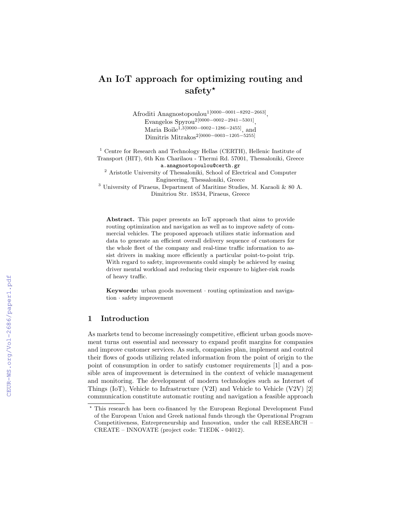# An IoT approach for optimizing routing and safety\*

Afroditi Anagnostopoulou1[0000−0001−8292−2663] ,  $E$ vangelos  $Spyrou^{2[0000-0002-2941-5301]},$ Maria Boile<sup>1,3</sup>[0000-0002-1286-2455], and Dimitris Mitrakos2[0000−0003−1205−5255]

 $^{\rm 1}$  Centre for Research and Technology Hellas (CERTH), Hellenic Institute of Transport (HIT), 6th Km Charilaou - Thermi Rd. 57001, Thessaloniki, Greece a.anagnostopoulou@certh.gr

<sup>2</sup> Aristotle University of Thessaloniki, School of Electrical and Computer Engineering, Thessaloniki, Greece

<sup>3</sup> University of Piraeus, Department of Maritime Studies, M. Karaoli & 80 A. Dimitriou Str. 18534, Piraeus, Greece

Abstract. This paper presents an IoT approach that aims to provide routing optimization and navigation as well as to improve safety of commercial vehicles. The proposed approach utilizes static information and data to generate an efficient overall delivery sequence of customers for the whole fleet of the company and real-time traffic information to assist drivers in making more efficiently a particular point-to-point trip. With regard to safety, improvements could simply be achieved by easing driver mental workload and reducing their exposure to higher-risk roads of heavy traffic.

Keywords: urban goods movement · routing optimization and navigation · safety improvement

## 1 Introduction

As markets tend to become increasingly competitive, efficient urban goods movement turns out essential and necessary to expand profit margins for companies and improve customer services. As such, companies plan, implement and control their flows of goods utilizing related information from the point of origin to the point of consumption in order to satisfy customer requirements [1] and a possible area of improvement is determined in the context of vehicle management and monitoring. The development of modern technologies such as Internet of Things (IoT), Vehicle to Infrastructure (V2I) and Vehicle to Vehicle (V2V)  $[2]$ communication constitute automatic routing and navigation a feasible approach

<sup>?</sup> This research has been co-financed by the European Regional Development Fund of the European Union and Greek national funds through the Operational Program Competitiveness, Entrepreneurship and Innovation, under the call RESEARCH – CREATE – INNOVATE (project code: T1EDK - 04012).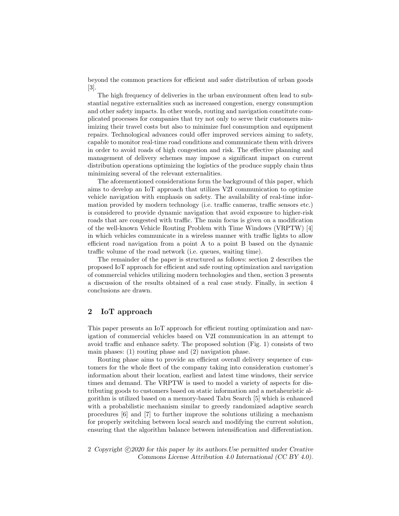beyond the common practices for efficient and safer distribution of urban goods [3].

The high frequency of deliveries in the urban environment often lead to substantial negative externalities such as increased congestion, energy consumption and other safety impacts. In other words, routing and navigation constitute complicated processes for companies that try not only to serve their customers minimizing their travel costs but also to minimize fuel consumption and equipment repairs. Technological advances could offer improved services aiming to safety, capable to monitor real-time road conditions and communicate them with drivers in order to avoid roads of high congestion and risk. The effective planning and management of delivery schemes may impose a significant impact on current distribution operations optimizing the logistics of the produce supply chain thus minimizing several of the relevant externalities.

The aforementioned considerations form the background of this paper, which aims to develop an IoT approach that utilizes V2I communication to optimize vehicle navigation with emphasis on safety. The availability of real-time information provided by modern technology (i.e. traffic cameras, traffic sensors etc.) is considered to provide dynamic navigation that avoid exposure to higher-risk roads that are congested with traffic. The main focus is given on a modification of the well-known Vehicle Routing Problem with Time Windows (VRPTW) [4] in which vehicles communicate in a wireless manner with traffic lights to allow efficient road navigation from a point A to a point B based on the dynamic traffic volume of the road network (i.e. queues, waiting time).

The remainder of the paper is structured as follows: section 2 describes the proposed IoT approach for efficient and safe routing optimization and navigation of commercial vehicles utilizing modern technologies and then, section 3 presents a discussion of the results obtained of a real case study. Finally, in section 4 conclusions are drawn.

### 2 IoT approach

This paper presents an IoT approach for efficient routing optimization and navigation of commercial vehicles based on V2I communication in an attempt to avoid traffic and enhance safety. The proposed solution (Fig. 1) consists of two main phases: (1) routing phase and (2) navigation phase.

Routing phase aims to provide an efficient overall delivery sequence of customers for the whole fleet of the company taking into consideration customer's information about their location, earliest and latest time windows, their service times and demand. The VRPTW is used to model a variety of aspects for distributing goods to customers based on static information and a metaheuristic algorithm is utilized based on a memory-based Tabu Search [5] which is enhanced with a probabilistic mechanism similar to greedy randomized adaptive search procedures [6] and [7] to further improve the solutions utilizing a mechanism for properly switching between local search and modifying the current solution, ensuring that the algorithm balance between intensification and differentiation.

2 Copyright  $\odot$ 2020 for this paper by its authors. Use permitted under Creative Commons License Attribution 4.0 International (CC BY 4.0).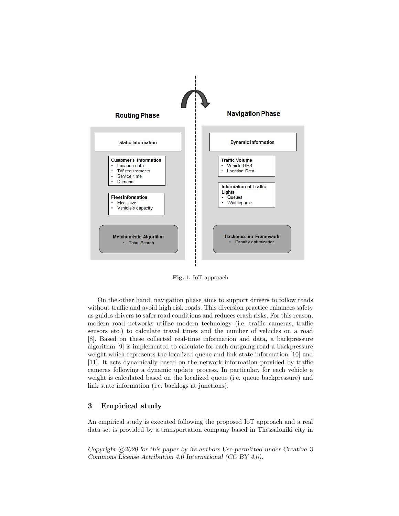

Fig. 1. IoT approach

On the other hand, navigation phase aims to support drivers to follow roads without traffic and avoid high risk roads. This diversion practice enhances safety as guides drivers to safer road conditions and reduces crash risks. For this reason, modern road networks utilize modern technology (i.e. traffic cameras, traffic sensors etc.) to calculate travel times and the number of vehicles on a road [8]. Based on these collected real-time information and data, a backpressure algorithm [9] is implemented to calculate for each outgoing road a backpressure weight which represents the localized queue and link state information [10] and [11]. It acts dynamically based on the network information provided by traffic cameras following a dynamic update process. In particular, for each vehicle a weight is calculated based on the localized queue (i.e. queue backpressure) and link state information (i.e. backlogs at junctions).

#### 3 Empirical study

An empirical study is executed following the proposed IoT approach and a real data set is provided by a transportation company based in Thessaloniki city in

Copyright  $\odot$ 2020 for this paper by its authors. Use permitted under Creative 3 Commons License Attribution 4.0 International (CC BY 4.0).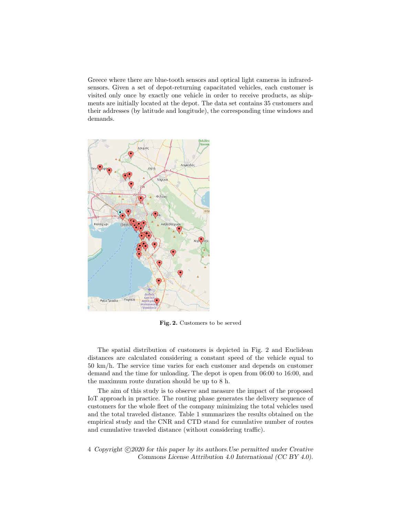Greece where there are blue-tooth sensors and optical light cameras in infraredsensors. Given a set of depot-returning capacitated vehicles, each customer is visited only once by exactly one vehicle in order to receive products, as shipments are initially located at the depot. The data set contains 35 customers and their addresses (by latitude and longitude), the corresponding time windows and demands.



Fig. 2. Customers to be served

The spatial distribution of customers is depicted in Fig. 2 and Euclidean distances are calculated considering a constant speed of the vehicle equal to 50 km/h. The service time varies for each customer and depends on customer demand and the time for unloading. The depot is open from 06:00 to 16:00, and the maximum route duration should be up to 8 h.

The aim of this study is to observe and measure the impact of the proposed IoT approach in practice. The routing phase generates the delivery sequence of customers for the whole fleet of the company minimizing the total vehicles used and the total traveled distance. Table 1 summarizes the results obtained on the empirical study and the CNR and CTD stand for cumulative number of routes and cumulative traveled distance (without considering traffic).

4 Copyright  $\odot$ 2020 for this paper by its authors. Use permitted under Creative Commons License Attribution 4.0 International (CC BY 4.0).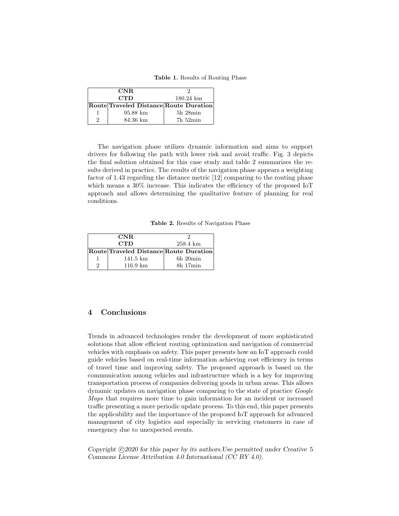Table 1. Results of Routing Phase

| CNR.       |                                        |                     |
|------------|----------------------------------------|---------------------|
| <b>CTD</b> |                                        | $180.24 \text{ km}$ |
|            | Route Traveled Distance Route Duration |                     |
|            | 95.88 km                               | $5h$ $28min$        |
|            | 84.36 km                               | $7h\,52min$         |

The navigation phase utilizes dynamic information and aims to support drivers for following the path with lower risk and avoid traffic. Fig. 3 depicts the final solution obtained for this case study and table 2 summarizes the results derived in practice. The results of the navigation phase appears a weighting factor of 1.43 regarding the distance metric [12] comparing to the routing phase which means a  $30\%$  increase. This indicates the efficiency of the proposed IoT approach and allows determining the qualitative feature of planning for real conditions.

Table 2. Results of Navigation Phase

| CNR.       |                                        |               |
|------------|----------------------------------------|---------------|
| <b>CTD</b> |                                        | 258.4 km      |
|            | Route Traveled Distance Route Duration |               |
|            | $141.5 \; \mathrm{km}$                 | $6h$ 20 $min$ |
|            | $116.9 \text{ km}$                     | 8h 17min      |

#### 4 Conclusions

Trends in advanced technologies render the development of more sophisticated solutions that allow efficient routing optimization and navigation of commercial vehicles with emphasis on safety. This paper presents how an IoT approach could guide vehicles based on real-time information achieving cost efficiency in terms of travel time and improving safety. The proposed approach is based on the communication among vehicles and infrastructure which is a key for improving transportation process of companies delivering goods in urban areas. This allows dynamic updates on navigation phase comparing to the state of practice Google Maps that requires more time to gain information for an incident or increased traffic presenting a more periodic update process. To this end, this paper presents the applicability and the importance of the proposed IoT approach for advanced management of city logistics and especially in servicing customers in case of emergency due to unexpected events.

Copyright  $\odot$ 2020 for this paper by its authors. Use permitted under Creative 5 Commons License Attribution 4.0 International (CC BY 4.0).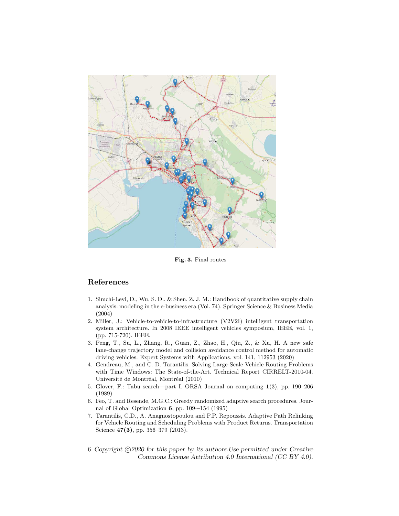

Fig. 3. Final routes

## References

- 1. Simchi-Levi, D., Wu, S. D., & Shen, Z. J. M.: Handbook of quantitative supply chain analysis: modeling in the e-business era (Vol. 74). Springer Science & Business Media (2004)
- 2. Miller, J.: Vehicle-to-vehicle-to-infrastructure (V2V2I) intelligent transportation system architecture. In 2008 IEEE intelligent vehicles symposium, IEEE, vol. 1, (pp. 715-720). IEEE.
- 3. Peng, T., Su, L., Zhang, R., Guan, Z., Zhao, H., Qiu, Z., & Xu, H. A new safe lane-change trajectory model and collision avoidance control method for automatic driving vehicles. Expert Systems with Applications, vol. 141, 112953 (2020)
- 4. Gendreau, M., and C. D. Tarantilis. Solving Large-Scale Vehicle Routing Problems with Time Windows: The State-of-the-Art. Technical Report CIRRELT-2010-04. Université de Montréal, Montréal (2010)
- 5. Glover, F.: Tabu search—part I. ORSA Journal on computing 1(3), pp. 190–206 (1989)
- 6. Feo, T. and Resende, M.G.C.: Greedy randomized adaptive search procedures. Journal of Global Optimization 6, pp. 109-–154 (1995)
- 7. Tarantilis, C.D., A. Anagnostopoulou and P.P. Repoussis. Adaptive Path Relinking for Vehicle Routing and Scheduling Problems with Product Returns. Transportation Science 47(3), pp. 356-379 (2013).
- 6 Copyright  $\odot$ 2020 for this paper by its authors. Use permitted under Creative Commons License Attribution 4.0 International (CC BY 4.0).